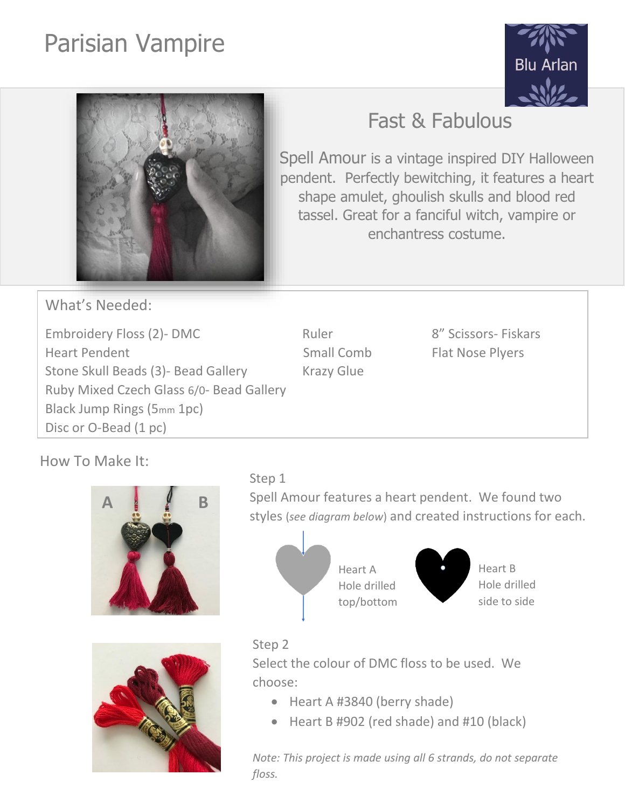# Parisian Vampire





# Fast & Fabulous

Spell Amour is a vintage inspired DIY Halloween pendent. Perfectly bewitching, it features a heart shape amulet, ghoulish skulls and blood red tassel. Great for a fanciful witch, vampire or enchantress costume.

What's Needed:

Embroidery Floss (2)- DMC Ruler Ruler 8" Scissors- Fiskars Heart Pendent **Flat Nose Plyers** Small Comb Flat Nose Plyers Stone Skull Beads (3) - Bead Gallery Krazy Glue Ruby Mixed Czech Glass 6/0- Bead Gallery Black Jump Rings (5mm 1pc) Disc or O-Bead (1 pc)

How To Make It:





# Step 1

Spell Amour features a heart pendent. We found two styles (*see diagram below*) and created instructions for each.



# Step 2

Select the colour of DMC floss to be used. We choose:

- Heart A #3840 (berry shade)
- Heart B #902 (red shade) and #10 (black)

*Note: This project is made using all 6 strands, do not separate floss.*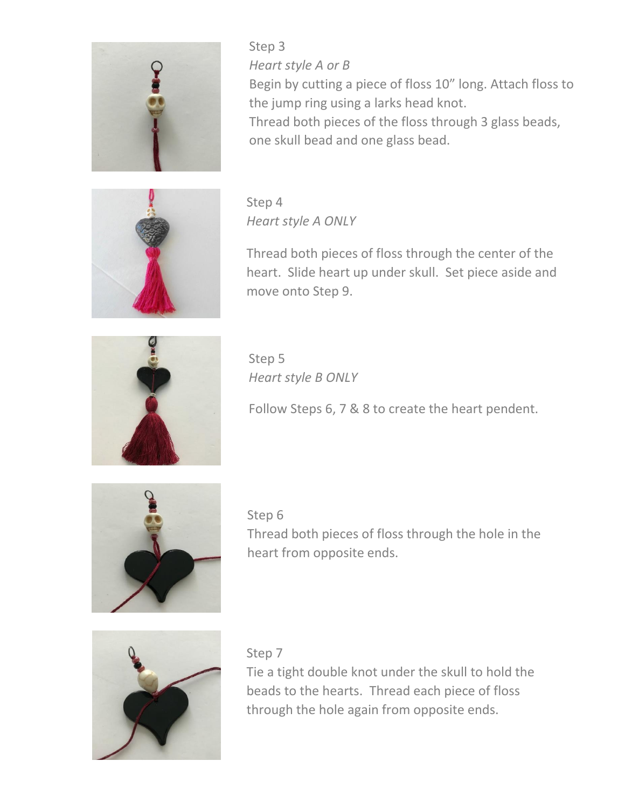

Step 3 *Heart style A or B* Begin by cutting a piece of floss 10" long. Attach floss to the jump ring using a larks head knot. Thread both pieces of the floss through 3 glass beads, one skull bead and one glass bead.



Step 4 *Heart style A ONLY*

Thread both pieces of floss through the center of the heart. Slide heart up under skull. Set piece aside and move onto Step 9.



Step 5 *Heart style B ONLY*

Follow Steps 6, 7 & 8 to create the heart pendent.



Step 6 Thread both pieces of floss through the hole in the heart from opposite ends.



Step 7

Tie a tight double knot under the skull to hold the beads to the hearts. Thread each piece of floss through the hole again from opposite ends.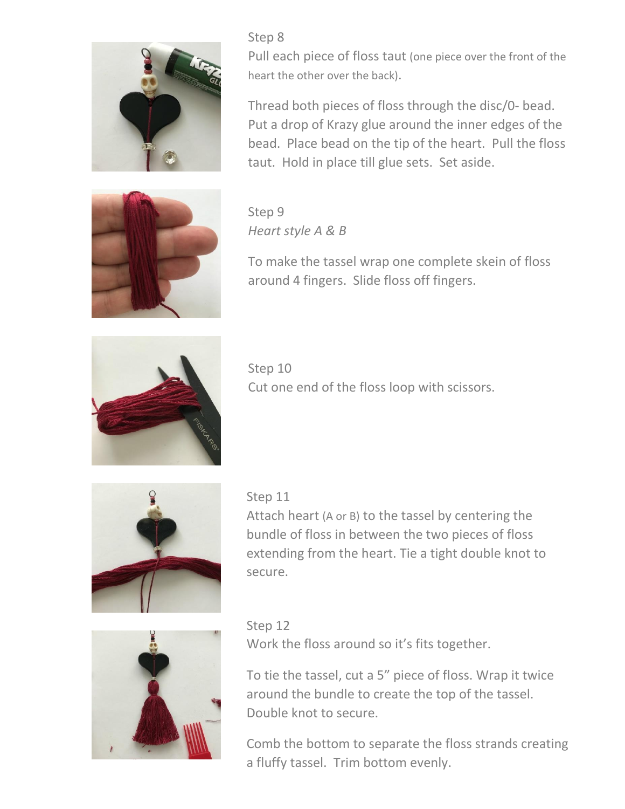

Pull each piece of floss taut (one piece over the front of the heart the other over the back).

Thread both pieces of floss through the disc/0- bead. Put a drop of Krazy glue around the inner edges of the bead. Place bead on the tip of the heart. Pull the floss taut. Hold in place till glue sets. Set aside.

Step 9 *Heart style A & B*

Step 8



To make the tassel wrap one complete skein of floss around 4 fingers. Slide floss off fingers.



Step 10 Cut one end of the floss loop with scissors.



# Step 11

Attach heart (A or B) to the tassel by centering the bundle of floss in between the two pieces of floss extending from the heart. Tie a tight double knot to secure.



Step 12 Work the floss around so it's fits together.

To tie the tassel, cut a 5" piece of floss. Wrap it twice around the bundle to create the top of the tassel. Double knot to secure.

Comb the bottom to separate the floss strands creating a fluffy tassel. Trim bottom evenly.